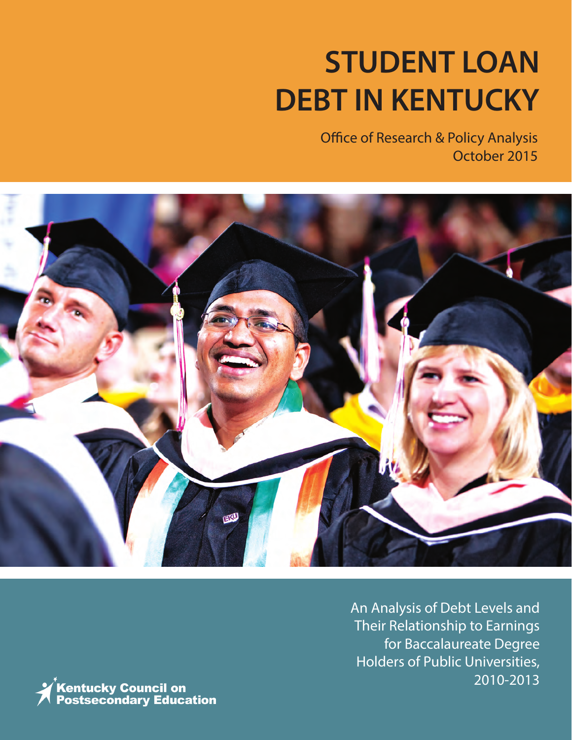# **STUDENT LOAN DEBT IN KENTUCKY**

Office of Research & Policy Analysis October 2015



An Analysis of Debt Levels and Their Relationship to Earnings for Baccalaureate Degree Holders of Public Universities, 2010-2013

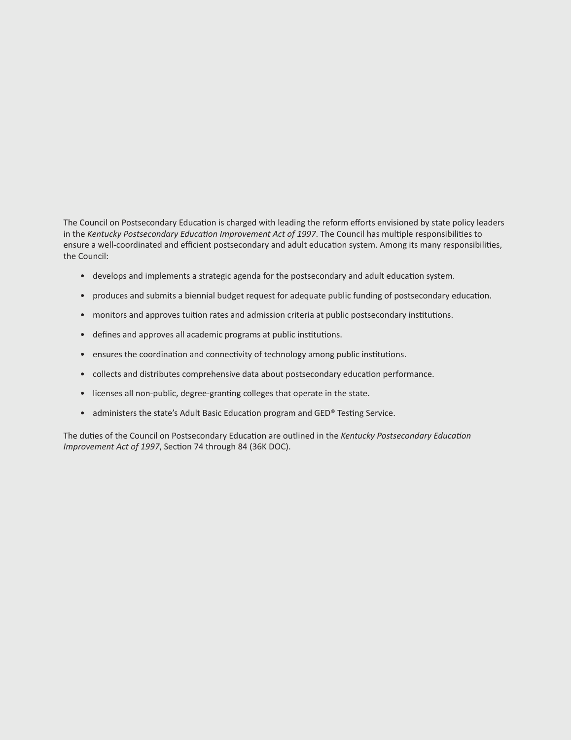The Council on Postsecondary Education is charged with leading the reform efforts envisioned by state policy leaders in the *Kentucky Postsecondary Education Improvement Act of 1997*. The Council has multiple responsibilities to ensure a well-coordinated and efficient postsecondary and adult education system. Among its many responsibilities, the Council:

- develops and implements a strategic agenda for the postsecondary and adult education system.
- produces and submits a biennial budget request for adequate public funding of postsecondary education.
- monitors and approves tuition rates and admission criteria at public postsecondary institutions.
- defines and approves all academic programs at public institutions.
- ensures the coordination and connectivity of technology among public institutions.
- collects and distributes comprehensive data about postsecondary education performance.
- licenses all non-public, degree-granting colleges that operate in the state.
- administers the state's Adult Basic Education program and GED® Testing Service.

The duties of the Council on Postsecondary Education are outlined in the *Kentucky Postsecondary Education Improvement Act of 1997*, Section 74 through 84 (36K DOC).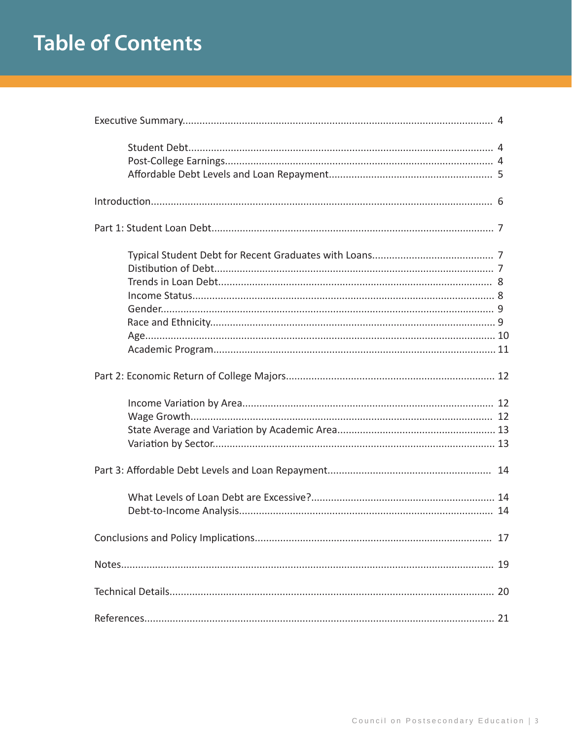# **Table of Contents**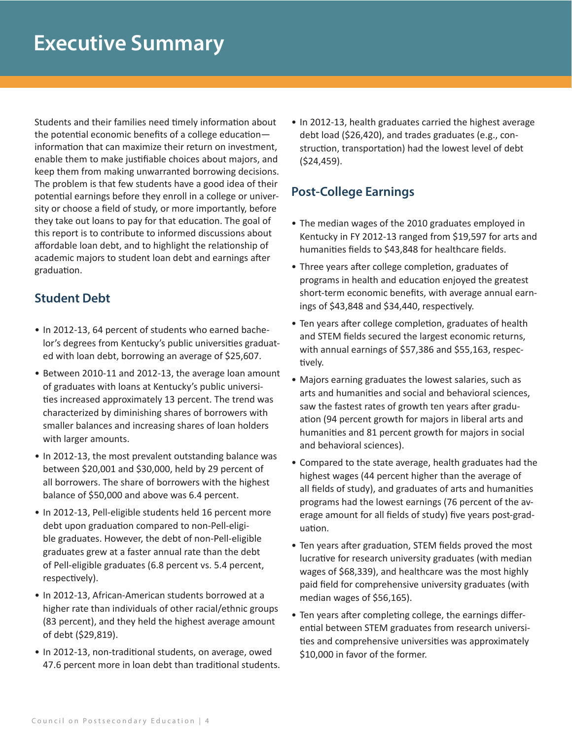Students and their families need timely information about the potential economic benefits of a college education information that can maximize their return on investment, enable them to make justifiable choices about majors, and keep them from making unwarranted borrowing decisions. The problem is that few students have a good idea of their potential earnings before they enroll in a college or university or choose a field of study, or more importantly, before they take out loans to pay for that education. The goal of this report is to contribute to informed discussions about affordable loan debt, and to highlight the relationship of academic majors to student loan debt and earnings after graduation.

# **Student Debt**

- In 2012-13, 64 percent of students who earned bachelor's degrees from Kentucky's public universities graduated with loan debt, borrowing an average of \$25,607.
- Between 2010-11 and 2012-13, the average loan amount of graduates with loans at Kentucky's public universities increased approximately 13 percent. The trend was characterized by diminishing shares of borrowers with smaller balances and increasing shares of loan holders with larger amounts.
- In 2012-13, the most prevalent outstanding balance was between \$20,001 and \$30,000, held by 29 percent of all borrowers. The share of borrowers with the highest balance of \$50,000 and above was 6.4 percent.
- In 2012-13, Pell-eligible students held 16 percent more debt upon graduation compared to non-Pell-eligible graduates. However, the debt of non-Pell-eligible graduates grew at a faster annual rate than the debt of Pell-eligible graduates (6.8 percent vs. 5.4 percent, respectively).
- In 2012-13, African-American students borrowed at a higher rate than individuals of other racial/ethnic groups (83 percent), and they held the highest average amount of debt (\$29,819).
- In 2012-13, non-traditional students, on average, owed 47.6 percent more in loan debt than traditional students.

• In 2012-13, health graduates carried the highest average debt load (\$26,420), and trades graduates (e.g., construction, transportation) had the lowest level of debt (\$24,459).

# **Post-College Earnings**

- The median wages of the 2010 graduates employed in Kentucky in FY 2012-13 ranged from \$19,597 for arts and humanities fields to \$43,848 for healthcare fields.
- Three years after college completion, graduates of programs in health and education enjoyed the greatest short-term economic benefits, with average annual earnings of \$43,848 and \$34,440, respectively.
- Ten years after college completion, graduates of health and STEM fields secured the largest economic returns, with annual earnings of \$57,386 and \$55,163, respectively.
- Majors earning graduates the lowest salaries, such as arts and humanities and social and behavioral sciences, saw the fastest rates of growth ten years after graduation (94 percent growth for majors in liberal arts and humanities and 81 percent growth for majors in social and behavioral sciences).
- Compared to the state average, health graduates had the highest wages (44 percent higher than the average of all fields of study), and graduates of arts and humanities programs had the lowest earnings (76 percent of the average amount for all fields of study) five years post-graduation.
- Ten years after graduation, STEM fields proved the most lucrative for research university graduates (with median wages of \$68,339), and healthcare was the most highly paid field for comprehensive university graduates (with median wages of \$56,165).
- Ten years after completing college, the earnings differential between STEM graduates from research universities and comprehensive universities was approximately \$10,000 in favor of the former.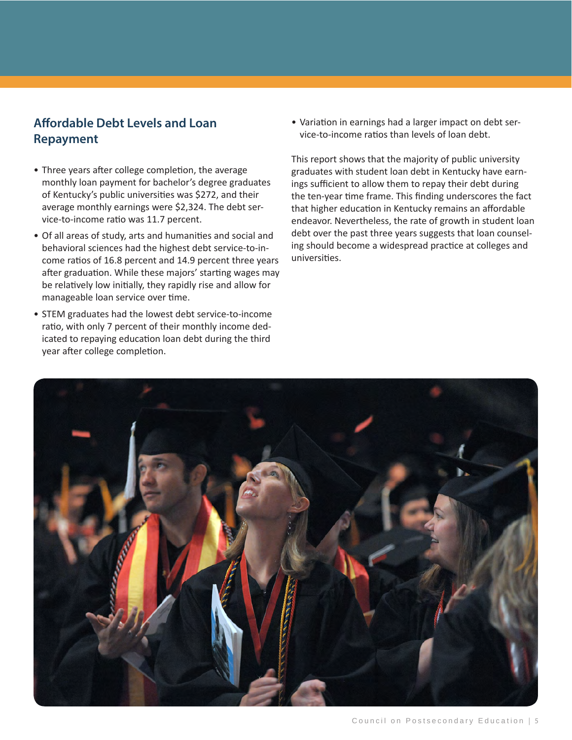# **Affordable Debt Levels and Loan Repayment**

- Three years after college completion, the average monthly loan payment for bachelor's degree graduates of Kentucky's public universities was \$272, and their average monthly earnings were \$2,324. The debt service-to-income ratio was 11.7 percent.
- Of all areas of study, arts and humanities and social and behavioral sciences had the highest debt service-to-income ratios of 16.8 percent and 14.9 percent three years after graduation. While these majors' starting wages may be relatively low initially, they rapidly rise and allow for manageable loan service over time.
- STEM graduates had the lowest debt service-to-income ratio, with only 7 percent of their monthly income dedicated to repaying education loan debt during the third year after college completion.

• Variation in earnings had a larger impact on debt service-to-income ratios than levels of loan debt.

This report shows that the majority of public university graduates with student loan debt in Kentucky have earnings sufficient to allow them to repay their debt during the ten-year time frame. This finding underscores the fact that higher education in Kentucky remains an affordable endeavor. Nevertheless, the rate of growth in student loan debt over the past three years suggests that loan counseling should become a widespread practice at colleges and universities.

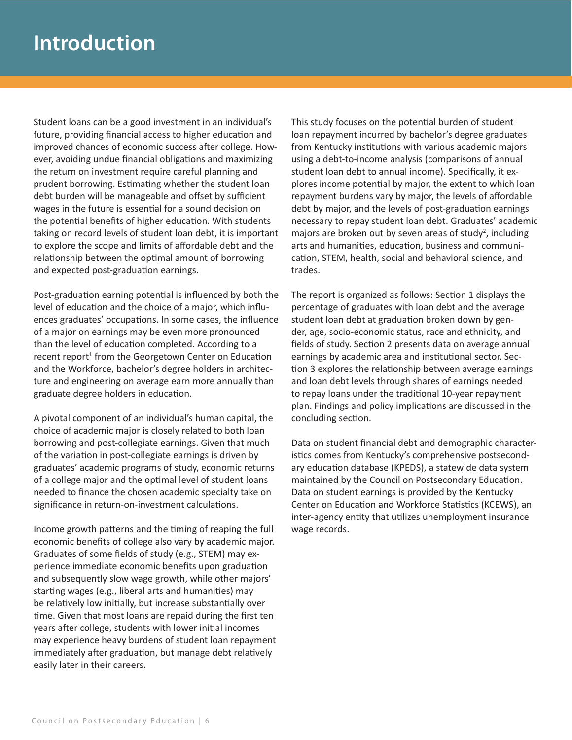Student loans can be a good investment in an individual's future, providing financial access to higher education and improved chances of economic success after college. However, avoiding undue financial obligations and maximizing the return on investment require careful planning and prudent borrowing. Estimating whether the student loan debt burden will be manageable and offset by sufficient wages in the future is essential for a sound decision on the potential benefits of higher education. With students taking on record levels of student loan debt, it is important to explore the scope and limits of affordable debt and the relationship between the optimal amount of borrowing and expected post-graduation earnings.

Post-graduation earning potential is influenced by both the level of education and the choice of a major, which influences graduates' occupations. In some cases, the influence of a major on earnings may be even more pronounced than the level of education completed. According to a recent report<sup>1</sup> from the Georgetown Center on Education and the Workforce, bachelor's degree holders in architecture and engineering on average earn more annually than graduate degree holders in education.

A pivotal component of an individual's human capital, the choice of academic major is closely related to both loan borrowing and post-collegiate earnings. Given that much of the variation in post-collegiate earnings is driven by graduates' academic programs of study, economic returns of a college major and the optimal level of student loans needed to finance the chosen academic specialty take on significance in return-on-investment calculations.

Income growth patterns and the timing of reaping the full economic benefits of college also vary by academic major. Graduates of some fields of study (e.g., STEM) may experience immediate economic benefits upon graduation and subsequently slow wage growth, while other majors' starting wages (e.g., liberal arts and humanities) may be relatively low initially, but increase substantially over time. Given that most loans are repaid during the first ten years after college, students with lower initial incomes may experience heavy burdens of student loan repayment immediately after graduation, but manage debt relatively easily later in their careers.

This study focuses on the potential burden of student loan repayment incurred by bachelor's degree graduates from Kentucky institutions with various academic majors using a debt-to-income analysis (comparisons of annual student loan debt to annual income). Specifically, it explores income potential by major, the extent to which loan repayment burdens vary by major, the levels of affordable debt by major, and the levels of post-graduation earnings necessary to repay student loan debt. Graduates' academic majors are broken out by seven areas of study<sup>2</sup>, including arts and humanities, education, business and communication, STEM, health, social and behavioral science, and trades.

The report is organized as follows: Section 1 displays the percentage of graduates with loan debt and the average student loan debt at graduation broken down by gender, age, socio-economic status, race and ethnicity, and fields of study. Section 2 presents data on average annual earnings by academic area and institutional sector. Section 3 explores the relationship between average earnings and loan debt levels through shares of earnings needed to repay loans under the traditional 10-year repayment plan. Findings and policy implications are discussed in the concluding section.

Data on student financial debt and demographic characteristics comes from Kentucky's comprehensive postsecondary education database (KPEDS), a statewide data system maintained by the Council on Postsecondary Education. Data on student earnings is provided by the Kentucky Center on Education and Workforce Statistics (KCEWS), an inter-agency entity that utilizes unemployment insurance wage records.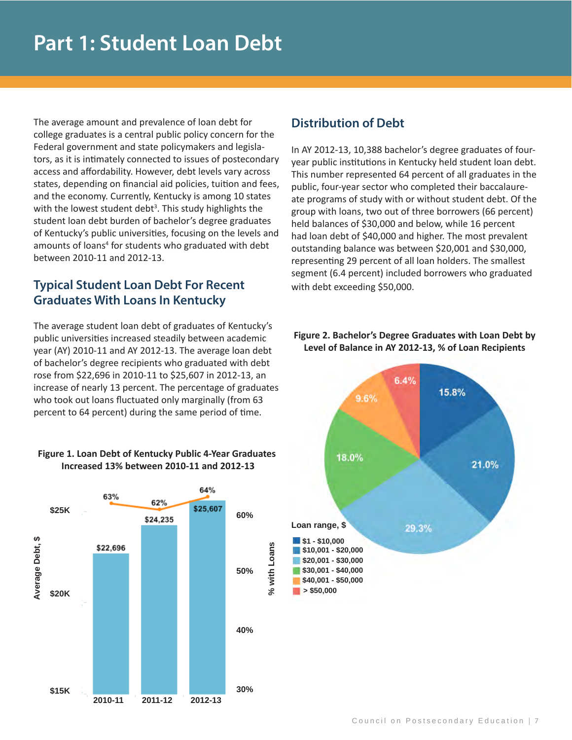The average amount and prevalence of loan debt for college graduates is a central public policy concern for the Federal government and state policymakers and legislators, as it is intimately connected to issues of postecondary access and affordability. However, debt levels vary across states, depending on financial aid policies, tuition and fees, and the economy. Currently, Kentucky is among 10 states with the lowest student debt<sup>3</sup>. This study highlights the student loan debt burden of bachelor's degree graduates of Kentucky's public universities, focusing on the levels and amounts of loans<sup>4</sup> for students who graduated with debt between 2010-11 and 2012-13.

# **Typical Student Loan Debt For Recent Graduates With Loans In Kentucky**

The average student loan debt of graduates of Kentucky's public universities increased steadily between academic year (AY) 2010-11 and AY 2012-13. The average loan debt of bachelor's degree recipients who graduated with debt rose from \$22,696 in 2010-11 to \$25,607 in 2012-13, an increase of nearly 13 percent. The percentage of graduates who took out loans fluctuated only marginally (from 63 percent to 64 percent) during the same period of time.





# **Distribution of Debt**

In AY 2012-13, 10,388 bachelor's degree graduates of fouryear public institutions in Kentucky held student loan debt. This number represented 64 percent of all graduates in the public, four-year sector who completed their baccalaureate programs of study with or without student debt. Of the group with loans, two out of three borrowers (66 percent) held balances of \$30,000 and below, while 16 percent had loan debt of \$40,000 and higher. The most prevalent outstanding balance was between \$20,001 and \$30,000, representing 29 percent of all loan holders. The smallest segment (6.4 percent) included borrowers who graduated with debt exceeding \$50,000.

#### **Figure 2. Bachelor's Degree Graduates with Loan Debt by Level of Balance in AY 2012-13, % of Loan Recipients**

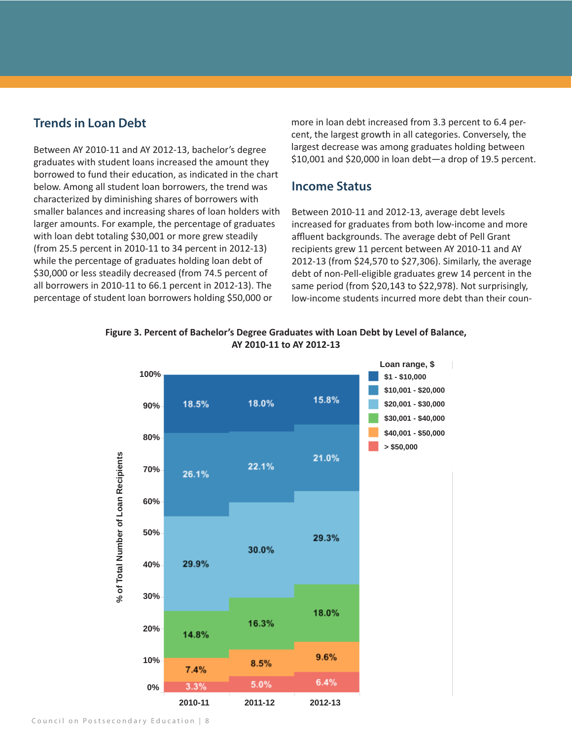# **Trends in Loan Debt**

Between AY 2010-11 and AY 2012-13, bachelor's degree graduates with student loans increased the amount they borrowed to fund their education, as indicated in the chart below. Among all student loan borrowers, the trend was characterized by diminishing shares of borrowers with smaller balances and increasing shares of loan holders with larger amounts. For example, the percentage of graduates with loan debt totaling \$30,001 or more grew steadily (from 25.5 percent in 2010-11 to 34 percent in 2012-13) while the percentage of graduates holding loan debt of \$30,000 or less steadily decreased (from 74.5 percent of all borrowers in 2010-11 to 66.1 percent in 2012-13). The percentage of student loan borrowers holding \$50,000 or

more in loan debt increased from 3.3 percent to 6.4 percent, the largest growth in all categories. Conversely, the largest decrease was among graduates holding between \$10,001 and \$20,000 in loan debt—a drop of 19.5 percent.

### **Income Status**

Between 2010-11 and 2012-13, average debt levels increased for graduates from both low-income and more affluent backgrounds. The average debt of Pell Grant recipients grew 11 percent between AY 2010-11 and AY 2012-13 (from \$24,570 to \$27,306). Similarly, the average debt of non-Pell-eligible graduates grew 14 percent in the same period (from \$20,143 to \$22,978). Not surprisingly, low-income students incurred more debt than their coun-



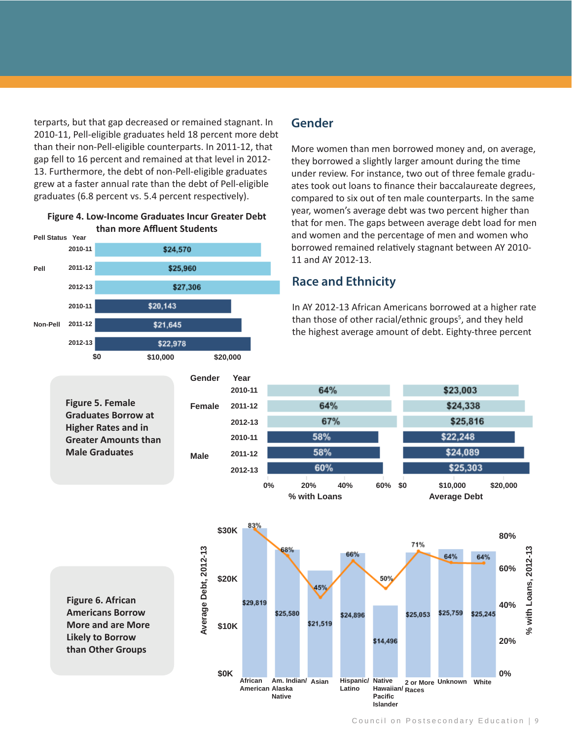terparts, but that gap decreased or remained stagnant. In 2010-11, Pell-eligible graduates held 18 percent more debt than their non-Pell-eligible counterparts. In 2011-12, that gap fell to 16 percent and remained at that level in 2012- 13. Furthermore, the debt of non-Pell-eligible graduates grew at a faster annual rate than the debt of Pell-eligible graduates (6.8 percent vs. 5.4 percent respectively).





#### **Gender**

More women than men borrowed money and, on average, they borrowed a slightly larger amount during the time under review. For instance, two out of three female graduates took out loans to finance their baccalaureate degrees, compared to six out of ten male counterparts. In the same year, women's average debt was two percent higher than that for men. The gaps between average debt load for men and women and the percentage of men and women who borrowed remained relatively stagnant between AY 2010- 11 and AY 2012-13.

# **Race and Ethnicity**

In AY 2012-13 African Americans borrowed at a higher rate than those of other racial/ethnic groups<sup>5</sup>, and they held the highest average amount of debt. Eighty-three percent

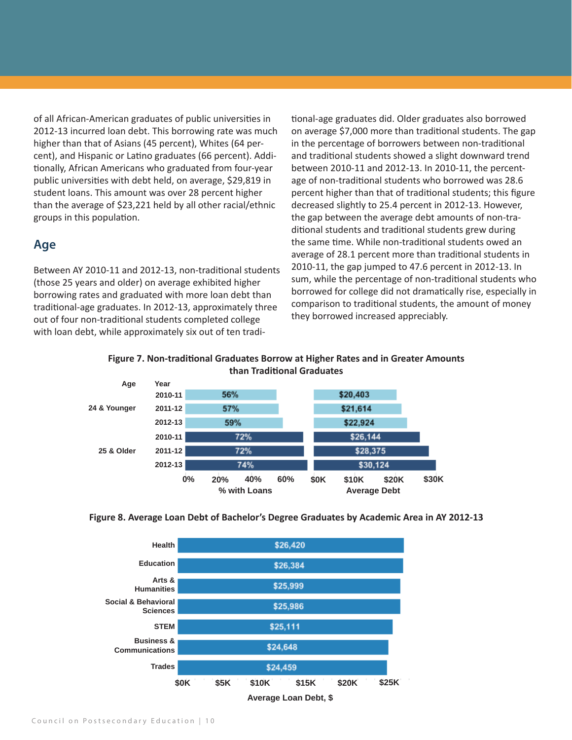of all African-American graduates of public universities in 2012-13 incurred loan debt. This borrowing rate was much higher than that of Asians (45 percent), Whites (64 percent), and Hispanic or Latino graduates (66 percent). Additionally, African Americans who graduated from four-year public universities with debt held, on average, \$29,819 in student loans. This amount was over 28 percent higher than the average of \$23,221 held by all other racial/ethnic groups in this population.

#### **Age**

Between AY 2010-11 and 2012-13, non-traditional students (those 25 years and older) on average exhibited higher borrowing rates and graduated with more loan debt than traditional-age graduates. In 2012-13, approximately three out of four non-traditional students completed college with loan debt, while approximately six out of ten traditional-age graduates did. Older graduates also borrowed on average \$7,000 more than traditional students. The gap in the percentage of borrowers between non-traditional and traditional students showed a slight downward trend between 2010-11 and 2012-13. In 2010-11, the percentage of non-traditional students who borrowed was 28.6 percent higher than that of traditional students; this figure decreased slightly to 25.4 percent in 2012-13. However, the gap between the average debt amounts of non-traditional students and traditional students grew during the same time. While non-traditional students owed an average of 28.1 percent more than traditional students in 2010-11, the gap jumped to 47.6 percent in 2012-13. In sum, while the percentage of non-traditional students who borrowed for college did not dramatically rise, especially in comparison to traditional students, the amount of money they borrowed increased appreciably.



#### **Figure 7. Non-traditional Graduates Borrow at Higher Rates and in Greater Amounts than Traditional Graduates**





**Average Loan Debt, \$**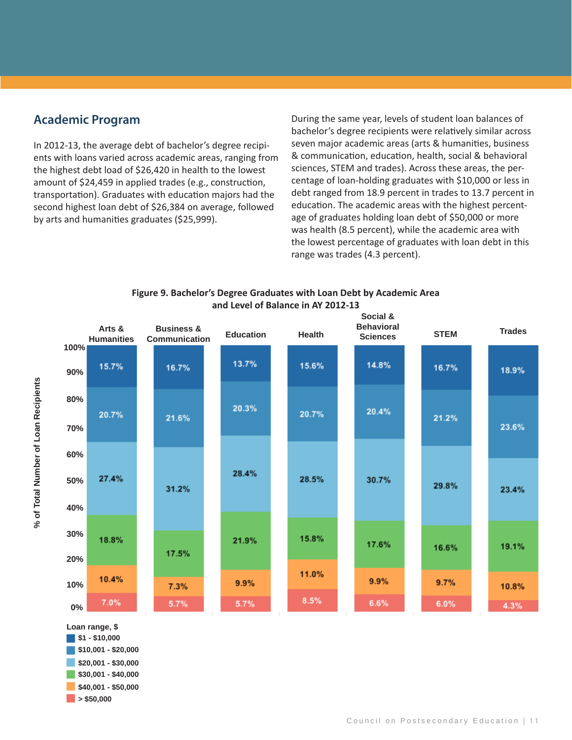# **Academic Program**

transportation). Graduates with education majors had the second highest loan debt of \$26,384 on average, followed by arts and humanities graduates (\$25,999). In 2012-13, the average debt of bachelor's degree recipients with loans varied across academic areas, ranging from the highest debt load of \$26,420 in health to the lowest amount of \$24,459 in applied trades (e.g., construction,

During the same year, levels of student loan balances of bachelor's degree recipients were relatively similar across seven major academic areas (arts & humanities, business & communication, education, health, social & behavioral sciences, STEM and trades). Across these areas, the percentage of loan-holding graduates with \$10,000 or less in debt ranged from 18.9 percent in trades to 13.7 percent in education. The academic areas with the highest percentage of graduates holding loan debt of \$50,000 or more was health (8.5 percent), while the academic area with the lowest percentage of graduates with loan debt in this range was trades (4.3 percent).





**\$1 - \$10,000 \$10,001 - \$20,000 \$20,001 - \$30,000 \$30,001 - \$40,000 Loan range, \$**

**% of Total Number of Loan Recipients**

% of Total Number of Loan Recipients

**\$40,001 - \$50,000**

**> \$50,000**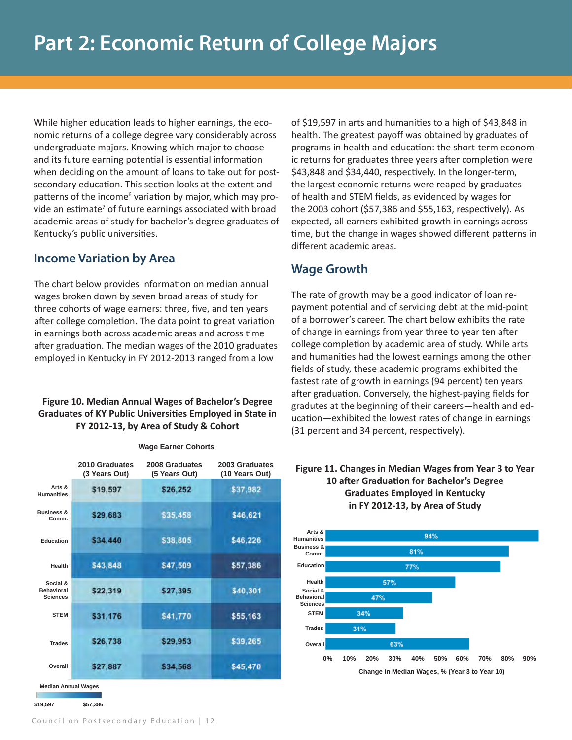While higher education leads to higher earnings, the economic returns of a college degree vary considerably across undergraduate majors. Knowing which major to choose and its future earning potential is essential information when deciding on the amount of loans to take out for postsecondary education. This section looks at the extent and patterns of the income<sup>6</sup> variation by major, which may provide an estimate<sup>7</sup> of future earnings associated with broad academic areas of study for bachelor's degree graduates of Kentucky's public universities.

# **Income Variation by Area**

The chart below provides information on median annual wages broken down by seven broad areas of study for three cohorts of wage earners: three, five, and ten years after college completion. The data point to great variation in earnings both across academic areas and across time after graduation. The median wages of the 2010 graduates employed in Kentucky in FY 2012-2013 ranged from a low

#### **Figure 10. Median Annual Wages of Bachelor's Degree Graduates of KY Public Universities Employed in State in FY 2012-13, by Area of Study & Cohort**

|                                                  | 2010 Graduates<br>(3 Years Out) | 2008 Graduates<br>(5 Years Out) | 2003 Graduates<br>(10 Years Out) |
|--------------------------------------------------|---------------------------------|---------------------------------|----------------------------------|
| Arts &<br><b>Humanities</b>                      | \$19,597                        | \$26,252                        | \$37,982                         |
| <b>Business &amp;</b><br>Comm.                   | \$29,683                        | \$35,458                        | \$46,621                         |
| <b>Education</b>                                 | \$34,440                        | \$38,805                        | \$46,226                         |
| <b>Health</b>                                    | \$43,848                        | \$47,509                        | \$57,386                         |
| Social &<br><b>Behavioral</b><br><b>Sciences</b> | \$22,319                        | \$27,395                        | \$40,301                         |
| <b>STFM</b>                                      | \$31,176                        | \$41,770                        | \$55,163                         |
| <b>Trades</b>                                    | \$26,738                        | \$29,953                        | \$39,265                         |
| Overall                                          | \$27,887                        | \$34,568                        | \$45,470                         |

**Wage Earner Cohorts**

**Median Annual Wages**

**\$19,597 \$57,386**

of \$19,597 in arts and humanities to a high of \$43,848 in health. The greatest payoff was obtained by graduates of programs in health and education: the short-term economic returns for graduates three years after completion were \$43,848 and \$34,440, respectively. In the longer-term, the largest economic returns were reaped by graduates of health and STEM fields, as evidenced by wages for the 2003 cohort (\$57,386 and \$55,163, respectively). As expected, all earners exhibited growth in earnings across time, but the change in wages showed different patterns in different academic areas.

# **Wage Growth**

The rate of growth may be a good indicator of loan repayment potential and of servicing debt at the mid-point of a borrower's career. The chart below exhibits the rate of change in earnings from year three to year ten after college completion by academic area of study. While arts and humanities had the lowest earnings among the other fields of study, these academic programs exhibited the fastest rate of growth in earnings (94 percent) ten years after graduation. Conversely, the highest-paying fields for gradutes at the beginning of their careers—health and education—exhibited the lowest rates of change in earnings (31 percent and 34 percent, respectively).

#### **Figure 11. Changes in Median Wages from Year 3 to Year 10 after Graduation for Bachelor's Degree Graduates Employed in Kentucky in FY 2012-13, by Area of Study**

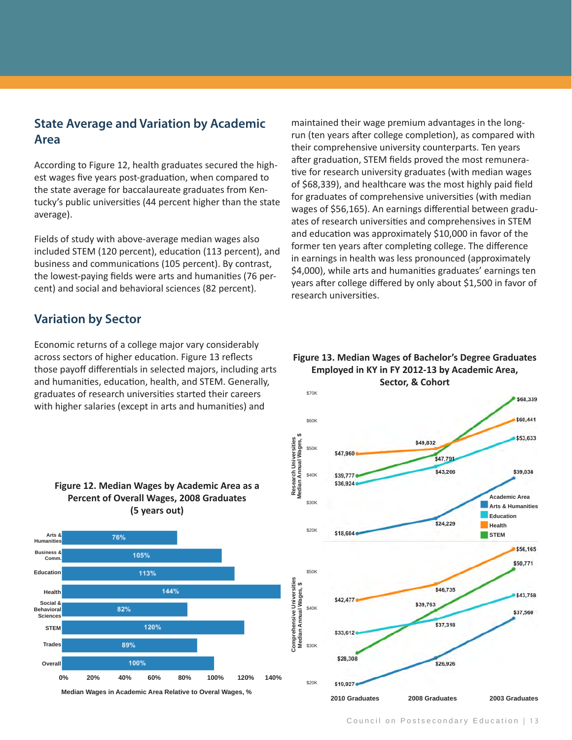# **State Average and Variation by Academic Area**

According to Figure 12, health graduates secured the highest wages five years post-graduation, when compared to the state average for baccalaureate graduates from Kentucky's public universities (44 percent higher than the state average).

Fields of study with above-average median wages also included STEM (120 percent), education (113 percent), and business and communications (105 percent). By contrast, the lowest-paying fields were arts and humanities (76 percent) and social and behavioral sciences (82 percent).

### **Variation by Sector**

Economic returns of a college major vary considerably across sectors of higher education. Figure 13 reflects those payoff differentials in selected majors, including arts and humanities, education, health, and STEM. Generally, graduates of research universities started their careers with higher salaries (except in arts and humanities) and

maintained their wage premium advantages in the longrun (ten years after college completion), as compared with their comprehensive university counterparts. Ten years after graduation, STEM fields proved the most remunerative for research university graduates (with median wages of \$68,339), and healthcare was the most highly paid field for graduates of comprehensive universities (with median wages of \$56,165). An earnings differential between graduates of research universities and comprehensives in STEM and education was approximately \$10,000 in favor of the former ten years after completing college. The difference in earnings in health was less pronounced (approximately \$4,000), while arts and humanities graduates' earnings ten years after college differed by only about \$1,500 in favor of research universities.

#### **Figure 13. Median Wages of Bachelor's Degree Graduates Employed in KY in FY 2012-13 by Academic Area, Sector, & Cohort**





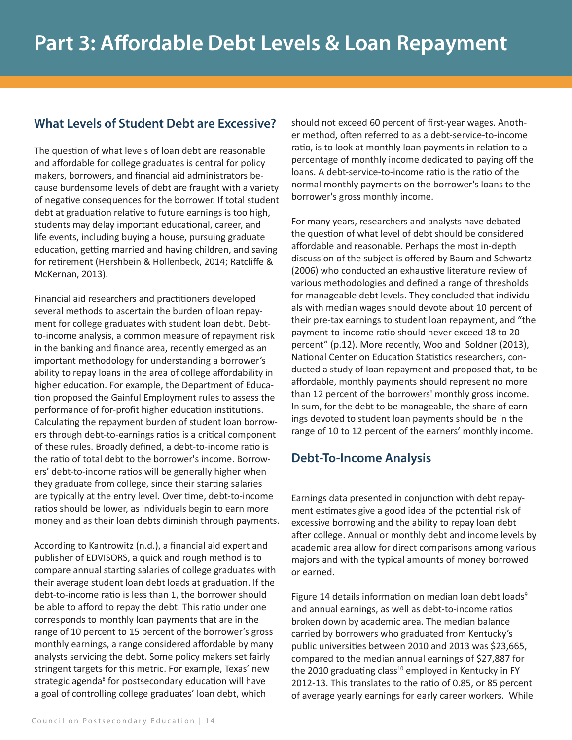# **What Levels of Student Debt are Excessive?**

The question of what levels of loan debt are reasonable and affordable for college graduates is central for policy makers, borrowers, and financial aid administrators because burdensome levels of debt are fraught with a variety of negative consequences for the borrower. If total student debt at graduation relative to future earnings is too high, students may delay important educational, career, and life events, including buying a house, pursuing graduate education, getting married and having children, and saving for retirement (Hershbein & Hollenbeck, 2014; Ratcliffe & McKernan, 2013).

Financial aid researchers and practitioners developed several methods to ascertain the burden of loan repayment for college graduates with student loan debt. Debtto-income analysis, a common measure of repayment risk in the banking and finance area, recently emerged as an important methodology for understanding a borrower's ability to repay loans in the area of college affordability in higher education. For example, the Department of Education proposed the Gainful Employment rules to assess the performance of for-profit higher education institutions. Calculating the repayment burden of student loan borrowers through debt-to-earnings ratios is a critical component of these rules. Broadly defined, a debt-to-income ratio is the ratio of total debt to the borrower's income. Borrowers' debt-to-income ratios will be generally higher when they graduate from college, since their starting salaries are typically at the entry level. Over time, debt-to-income ratios should be lower, as individuals begin to earn more money and as their loan debts diminish through payments.

According to Kantrowitz (n.d.), a financial aid expert and publisher of EDVISORS, a quick and rough method is to compare annual starting salaries of college graduates with their average student loan debt loads at graduation. If the debt-to-income ratio is less than 1, the borrower should be able to afford to repay the debt. This ratio under one corresponds to monthly loan payments that are in the range of 10 percent to 15 percent of the borrower's gross monthly earnings, a range considered affordable by many analysts servicing the debt. Some policy makers set fairly stringent targets for this metric. For example, Texas' new strategic agenda<sup>8</sup> for postsecondary education will have a goal of controlling college graduates' loan debt, which

should not exceed 60 percent of first-year wages. Another method, often referred to as a debt-service-to-income ratio, is to look at monthly loan payments in relation to a percentage of monthly income dedicated to paying off the loans. A debt-service-to-income ratio is the ratio of the normal monthly payments on the borrower's loans to the borrower's gross monthly income.

For many years, researchers and analysts have debated the question of what level of debt should be considered affordable and reasonable. Perhaps the most in-depth discussion of the subject is offered by Baum and Schwartz (2006) who conducted an exhaustive literature review of various methodologies and defined a range of thresholds for manageable debt levels. They concluded that individuals with median wages should devote about 10 percent of their pre-tax earnings to student loan repayment, and "the payment-to-income ratio should never exceed 18 to 20 percent" (p.12). More recently, Woo and Soldner (2013), National Center on Education Statistics researchers, conducted a study of loan repayment and proposed that, to be affordable, monthly payments should represent no more than 12 percent of the borrowers' monthly gross income. In sum, for the debt to be manageable, the share of earnings devoted to student loan payments should be in the range of 10 to 12 percent of the earners' monthly income.

# **Debt-To-Income Analysis**

Earnings data presented in conjunction with debt repayment estimates give a good idea of the potential risk of excessive borrowing and the ability to repay loan debt after college. Annual or monthly debt and income levels by academic area allow for direct comparisons among various majors and with the typical amounts of money borrowed or earned.

Figure 14 details information on median loan debt loads<sup>9</sup> and annual earnings, as well as debt-to-income ratios broken down by academic area. The median balance carried by borrowers who graduated from Kentucky's public universities between 2010 and 2013 was \$23,665, compared to the median annual earnings of \$27,887 for the 2010 graduating class<sup>10</sup> employed in Kentucky in FY 2012-13. This translates to the ratio of 0.85, or 85 percent of average yearly earnings for early career workers. While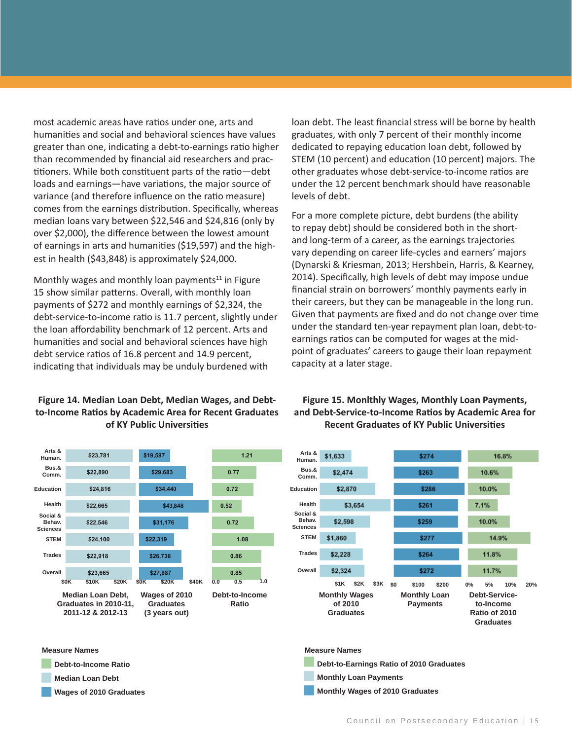most academic areas have ratios under one, arts and humanities and social and behavioral sciences have values greater than one, indicating a debt-to-earnings ratio higher than recommended by financial aid researchers and practitioners. While both constituent parts of the ratio—debt loads and earnings—have variations, the major source of variance (and therefore influence on the ratio measure) comes from the earnings distribution. Specifically, whereas median loans vary between \$22,546 and \$24,816 (only by over \$2,000), the difference between the lowest amount of earnings in arts and humanities (\$19,597) and the highest in health (\$43,848) is approximately \$24,000.

Monthly wages and monthly loan payments $11$  in Figure 15 show similar patterns. Overall, with monthly loan payments of \$272 and monthly earnings of \$2,324, the debt-service-to-income ratio is 11.7 percent, slightly under the loan affordability benchmark of 12 percent. Arts and humanities and social and behavioral sciences have high debt service ratios of 16.8 percent and 14.9 percent, indicating that individuals may be unduly burdened with

#### **Figure 14. Median Loan Debt, Median Wages, and Debtto-Income Ratios by Academic Area for Recent Graduates of KY Public Universities**



#### **Measure Names**

- **Debt-to-Income Ratio**
- **Median Loan Debt**
- **Wages of 2010 Graduates**

loan debt. The least financial stress will be borne by health graduates, with only 7 percent of their monthly income dedicated to repaying education loan debt, followed by STEM (10 percent) and education (10 percent) majors. The other graduates whose debt-service-to-income ratios are under the 12 percent benchmark should have reasonable levels of debt.

For a more complete picture, debt burdens (the ability to repay debt) should be considered both in the shortand long-term of a career, as the earnings trajectories vary depending on career life-cycles and earners' majors (Dynarski & Kriesman, 2013; Hershbein, Harris, & Kearney, 2014). Specifically, high levels of debt may impose undue financial strain on borrowers' monthly payments early in their careers, but they can be manageable in the long run. Given that payments are fixed and do not change over time under the standard ten-year repayment plan loan, debt-toearnings ratios can be computed for wages at the midpoint of graduates' careers to gauge their loan repayment capacity at a later stage.

#### **Figure 15. Monlthly Wages, Monthly Loan Payments, and Debt-Service-to-Income Ratios by Academic Area for Recent Graduates of KY Public Universities**



#### **Measure Names**

**Debt-to-Earnings Ratio of 2010 Graduates**

- **Monthly Loan Payments**
- **Monthly Wages of 2010 Graduates**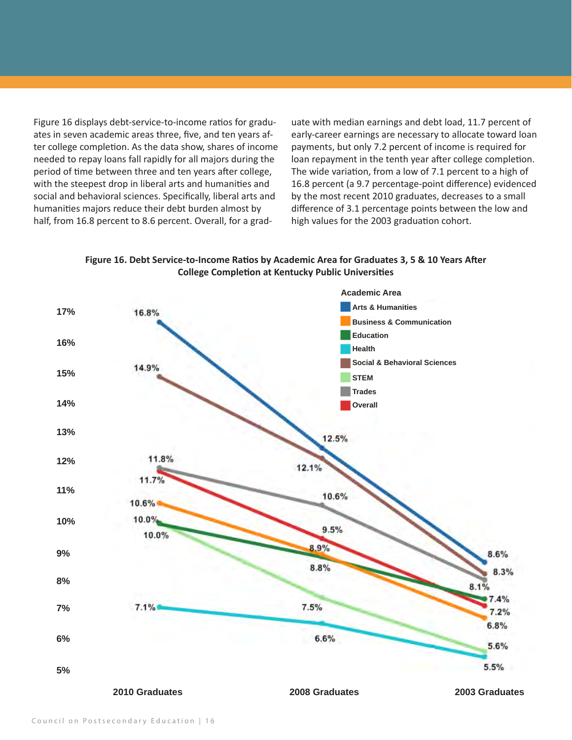Figure 16 displays debt-service-to-income ratios for graduates in seven academic areas three, five, and ten years after college completion. As the data show, shares of income needed to repay loans fall rapidly for all majors during the period of time between three and ten years after college, with the steepest drop in liberal arts and humanities and social and behavioral sciences. Specifically, liberal arts and humanities majors reduce their debt burden almost by half, from 16.8 percent to 8.6 percent. Overall, for a grad-

uate with median earnings and debt load, 11.7 percent of early-career earnings are necessary to allocate toward loan payments, but only 7.2 percent of income is required for loan repayment in the tenth year after college completion. The wide variation, from a low of 7.1 percent to a high of 16.8 percent (a 9.7 percentage-point difference) evidenced by the most recent 2010 graduates, decreases to a small difference of 3.1 percentage points between the low and high values for the 2003 graduation cohort.

**Figure 16. Debt Service-to-Income Ratios by Academic Area for Graduates 3, 5 & 10 Years After College Completion at Kentucky Public Universities**

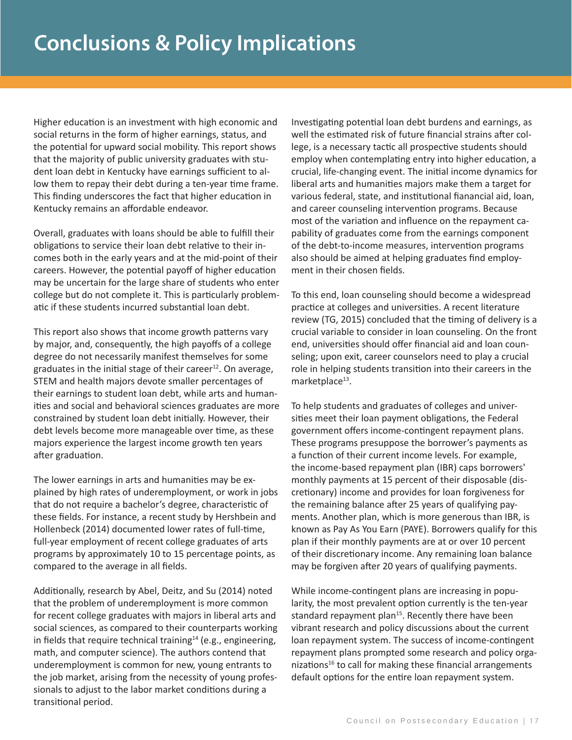Higher education is an investment with high economic and social returns in the form of higher earnings, status, and the potential for upward social mobility. This report shows that the majority of public university graduates with student loan debt in Kentucky have earnings sufficient to allow them to repay their debt during a ten-year time frame. This finding underscores the fact that higher education in Kentucky remains an affordable endeavor.

Overall, graduates with loans should be able to fulfill their obligations to service their loan debt relative to their incomes both in the early years and at the mid-point of their careers. However, the potential payoff of higher education may be uncertain for the large share of students who enter college but do not complete it. This is particularly problematic if these students incurred substantial loan debt.

This report also shows that income growth patterns vary by major, and, consequently, the high payoffs of a college degree do not necessarily manifest themselves for some graduates in the initial stage of their career $^{12}$ . On average, STEM and health majors devote smaller percentages of their earnings to student loan debt, while arts and humanities and social and behavioral sciences graduates are more constrained by student loan debt initially. However, their debt levels become more manageable over time, as these majors experience the largest income growth ten years after graduation.

The lower earnings in arts and humanities may be explained by high rates of underemployment, or work in jobs that do not require a bachelor's degree, characteristic of these fields. For instance, a recent study by Hershbein and Hollenbeck (2014) documented lower rates of full-time, full-year employment of recent college graduates of arts programs by approximately 10 to 15 percentage points, as compared to the average in all fields.

Additionally, research by Abel, Deitz, and Su (2014) noted that the problem of underemployment is more common for recent college graduates with majors in liberal arts and social sciences, as compared to their counterparts working in fields that require technical training $14$  (e.g., engineering, math, and computer science). The authors contend that underemployment is common for new, young entrants to the job market, arising from the necessity of young professionals to adjust to the labor market conditions during a transitional period.

Investigating potential loan debt burdens and earnings, as well the estimated risk of future financial strains after college, is a necessary tactic all prospective students should employ when contemplating entry into higher education, a crucial, life-changing event. The initial income dynamics for liberal arts and humanities majors make them a target for various federal, state, and institutional fianancial aid, loan, and career counseling intervention programs. Because most of the variation and influence on the repayment capability of graduates come from the earnings component of the debt-to-income measures, intervention programs also should be aimed at helping graduates find employment in their chosen fields.

To this end, loan counseling should become a widespread practice at colleges and universities. A recent literature review (TG, 2015) concluded that the timing of delivery is a crucial variable to consider in loan counseling. On the front end, universities should offer financial aid and loan counseling; upon exit, career counselors need to play a crucial role in helping students transition into their careers in the marketplace $^{13}$ .

To help students and graduates of colleges and universities meet their loan payment obligations, the Federal government offers income-contingent repayment plans. These programs presuppose the borrower's payments as a function of their current income levels. For example, the income-based repayment plan (IBR) caps borrowers' monthly payments at 15 percent of their disposable (discretionary) income and provides for loan forgiveness for the remaining balance after 25 years of qualifying payments. Another plan, which is more generous than IBR, is known as Pay As You Earn (PAYE). Borrowers qualify for this plan if their monthly payments are at or over 10 percent of their discretionary income. Any remaining loan balance may be forgiven after 20 years of qualifying payments.

While income-contingent plans are increasing in popularity, the most prevalent option currently is the ten-year standard repayment plan<sup>15</sup>. Recently there have been vibrant research and policy discussions about the current loan repayment system. The success of income-contingent repayment plans prompted some research and policy organizations<sup>16</sup> to call for making these financial arrangements default options for the entire loan repayment system.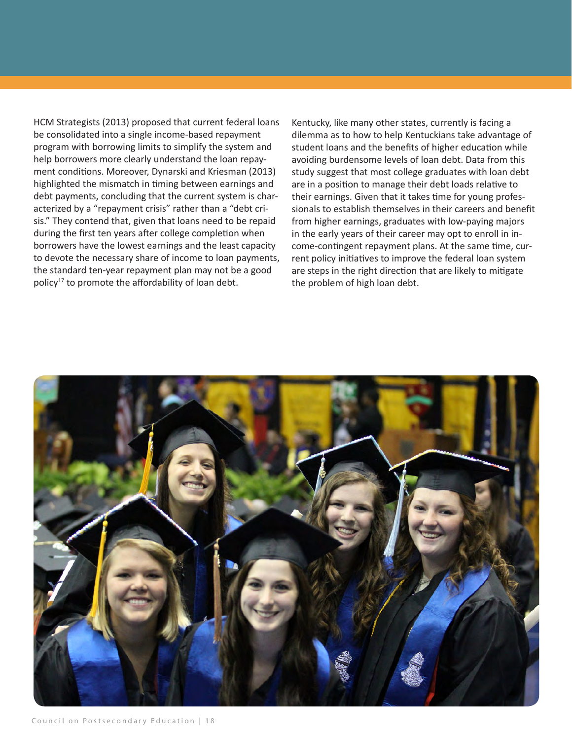HCM Strategists (2013) proposed that current federal loans be consolidated into a single income-based repayment program with borrowing limits to simplify the system and help borrowers more clearly understand the loan repayment conditions. Moreover, Dynarski and Kriesman (2013) highlighted the mismatch in timing between earnings and debt payments, concluding that the current system is characterized by a "repayment crisis" rather than a "debt crisis." They contend that, given that loans need to be repaid during the first ten years after college completion when borrowers have the lowest earnings and the least capacity to devote the necessary share of income to loan payments, the standard ten-year repayment plan may not be a good policy<sup>17</sup> to promote the affordability of loan debt.

Kentucky, like many other states, currently is facing a dilemma as to how to help Kentuckians take advantage of student loans and the benefits of higher education while avoiding burdensome levels of loan debt. Data from this study suggest that most college graduates with loan debt are in a position to manage their debt loads relative to their earnings. Given that it takes time for young professionals to establish themselves in their careers and benefit from higher earnings, graduates with low-paying majors in the early years of their career may opt to enroll in income-contingent repayment plans. At the same time, current policy initiatives to improve the federal loan system are steps in the right direction that are likely to mitigate the problem of high loan debt.

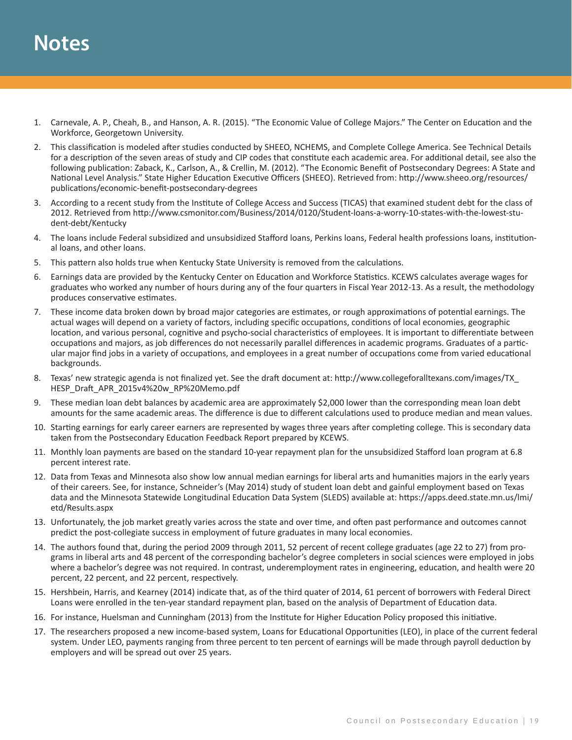# **Notes**

- 1. Carnevale, A. P., Cheah, B., and Hanson, A. R. (2015). "The Economic Value of College Majors." The Center on Education and the Workforce, Georgetown University.
- 2. This classification is modeled after studies conducted by SHEEO, NCHEMS, and Complete College America. See Technical Details for a description of the seven areas of study and CIP codes that constitute each academic area. For additional detail, see also the following publication: Zaback, K., Carlson, A., & Crellin, M. (2012). "The Economic Benefit of Postsecondary Degrees: A State and National Level Analysis." State Higher Education Executive Officers (SHEEO). Retrieved from: http://www.sheeo.org/resources/ publications/economic-benefit-postsecondary-degrees
- 3. According to a recent study from the Institute of College Access and Success (TICAS) that examined student debt for the class of 2012. Retrieved from http://www.csmonitor.com/Business/2014/0120/Student-loans-a-worry-10-states-with-the-lowest-student-debt/Kentucky
- 4. The loans include Federal subsidized and unsubsidized Stafford loans, Perkins loans, Federal health professions loans, institutional loans, and other loans.
- 5. This pattern also holds true when Kentucky State University is removed from the calculations.
- 6. Earnings data are provided by the Kentucky Center on Education and Workforce Statistics. KCEWS calculates average wages for graduates who worked any number of hours during any of the four quarters in Fiscal Year 2012-13. As a result, the methodology produces conservative estimates.
- 7. These income data broken down by broad major categories are estimates, or rough approximations of potential earnings. The actual wages will depend on a variety of factors, including specific occupations, conditions of local economies, geographic location, and various personal, cognitive and psycho-social characteristics of employees. It is important to differentiate between occupations and majors, as job differences do not necessarily parallel differences in academic programs. Graduates of a particular major find jobs in a variety of occupations, and employees in a great number of occupations come from varied educational backgrounds.
- 8. Texas' new strategic agenda is not finalized yet. See the draft document at: http://www.collegeforalltexans.com/images/TX\_ HESP\_Draft\_APR\_2015v4%20w\_RP%20Memo.pdf
- 9. These median loan debt balances by academic area are approximately \$2,000 lower than the corresponding mean loan debt amounts for the same academic areas. The difference is due to different calculations used to produce median and mean values.
- 10. Starting earnings for early career earners are represented by wages three years after completing college. This is secondary data taken from the Postsecondary Education Feedback Report prepared by KCEWS.
- 11. Monthly loan payments are based on the standard 10-year repayment plan for the unsubsidized Stafford loan program at 6.8 percent interest rate.
- 12. Data from Texas and Minnesota also show low annual median earnings for liberal arts and humanities majors in the early years of their careers. See, for instance, Schneider's (May 2014) study of student loan debt and gainful employment based on Texas data and the Minnesota Statewide Longitudinal Education Data System (SLEDS) available at: https://apps.deed.state.mn.us/lmi/ etd/Results.aspx
- 13. Unfortunately, the job market greatly varies across the state and over time, and often past performance and outcomes cannot predict the post-collegiate success in employment of future graduates in many local economies.
- 14. The authors found that, during the period 2009 through 2011, 52 percent of recent college graduates (age 22 to 27) from programs in liberal arts and 48 percent of the corresponding bachelor's degree completers in social sciences were employed in jobs where a bachelor's degree was not required. In contrast, underemployment rates in engineering, education, and health were 20 percent, 22 percent, and 22 percent, respectively.
- 15. Hershbein, Harris, and Kearney (2014) indicate that, as of the third quater of 2014, 61 percent of borrowers with Federal Direct Loans were enrolled in the ten-year standard repayment plan, based on the analysis of Department of Education data.
- 16. For instance, Huelsman and Cunningham (2013) from the Institute for Higher Education Policy proposed this initiative.
- 17. The researchers proposed a new income-based system, Loans for Educational Opportunities (LEO), in place of the current federal system. Under LEO, payments ranging from three percent to ten percent of earnings will be made through payroll deduction by employers and will be spread out over 25 years.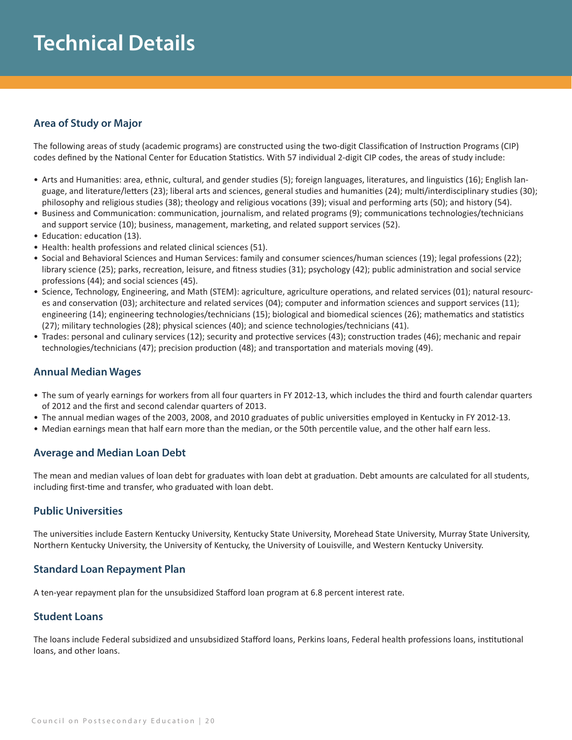# **Technical Details**

#### **Area of Study or Major**

The following areas of study (academic programs) are constructed using the two-digit Classification of Instruction Programs (CIP) codes defined by the National Center for Education Statistics. With 57 individual 2-digit CIP codes, the areas of study include:

- Arts and Humanities: area, ethnic, cultural, and gender studies (5); foreign languages, literatures, and linguistics (16); English language, and literature/letters (23); liberal arts and sciences, general studies and humanities (24); multi/interdisciplinary studies (30); philosophy and religious studies (38); theology and religious vocations (39); visual and performing arts (50); and history (54).
- Business and Communication: communication, journalism, and related programs (9); communications technologies/technicians and support service (10); business, management, marketing, and related support services (52).
- Education: education (13).
- Health: health professions and related clinical sciences (51).
- Social and Behavioral Sciences and Human Services: family and consumer sciences/human sciences (19); legal professions (22); library science (25); parks, recreation, leisure, and fitness studies (31); psychology (42); public administration and social service professions (44); and social sciences (45).
- Science, Technology, Engineering, and Math (STEM): agriculture, agriculture operations, and related services (01); natural resources and conservation (03); architecture and related services (04); computer and information sciences and support services (11); engineering (14); engineering technologies/technicians (15); biological and biomedical sciences (26); mathematics and statistics (27); military technologies (28); physical sciences (40); and science technologies/technicians (41).
- Trades: personal and culinary services (12); security and protective services (43); construction trades (46); mechanic and repair technologies/technicians (47); precision production (48); and transportation and materials moving (49).

#### **Annual Median Wages**

- The sum of yearly earnings for workers from all four quarters in FY 2012-13, which includes the third and fourth calendar quarters of 2012 and the first and second calendar quarters of 2013.
- The annual median wages of the 2003, 2008, and 2010 graduates of public universities employed in Kentucky in FY 2012-13.
- Median earnings mean that half earn more than the median, or the 50th percentile value, and the other half earn less.

#### **Average and Median Loan Debt**

The mean and median values of loan debt for graduates with loan debt at graduation. Debt amounts are calculated for all students, including first-time and transfer, who graduated with loan debt.

#### **Public Universities**

The universities include Eastern Kentucky University, Kentucky State University, Morehead State University, Murray State University, Northern Kentucky University, the University of Kentucky, the University of Louisville, and Western Kentucky University.

#### **Standard Loan Repayment Plan**

A ten-year repayment plan for the unsubsidized Stafford loan program at 6.8 percent interest rate.

#### **Student Loans**

The loans include Federal subsidized and unsubsidized Stafford loans, Perkins loans, Federal health professions loans, institutional loans, and other loans.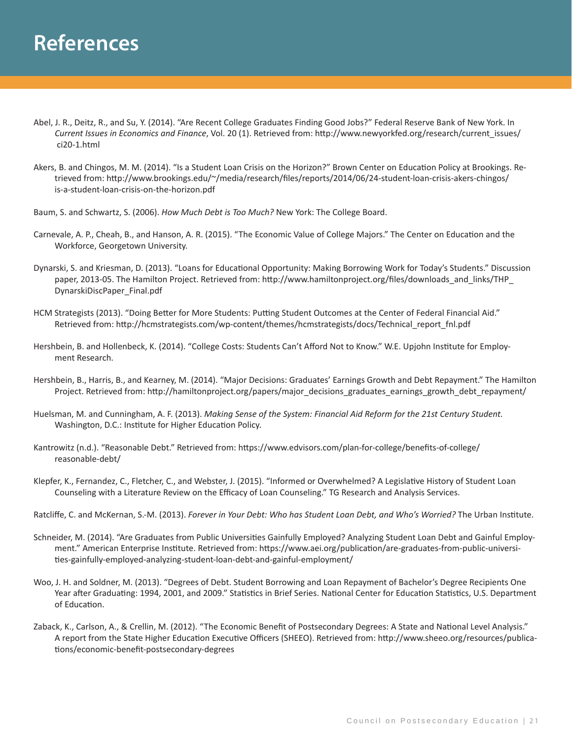- Abel, J. R., Deitz, R., and Su, Y. (2014). "Are Recent College Graduates Finding Good Jobs?" Federal Reserve Bank of New York. In *Current Issues in Economics and Finance*, Vol. 20 (1). Retrieved from: http://www.newyorkfed.org/research/current\_issues/ ci20-1.html
- Akers, B. and Chingos, M. M. (2014). "Is a Student Loan Crisis on the Horizon?" Brown Center on Education Policy at Brookings. Re trieved from: http://www.brookings.edu/~/media/research/files/reports/2014/06/24-student-loan-crisis-akers-chingos/ is-a-student-loan-crisis-on-the-horizon.pdf
- Baum, S. and Schwartz, S. (2006). *How Much Debt is Too Much?* New York: The College Board.
- Carnevale, A. P., Cheah, B., and Hanson, A. R. (2015). "The Economic Value of College Majors." The Center on Education and the Workforce, Georgetown University.
- Dynarski, S. and Kriesman, D. (2013). "Loans for Educational Opportunity: Making Borrowing Work for Today's Students." Discussion paper, 2013-05. The Hamilton Project. Retrieved from: http://www.hamiltonproject.org/files/downloads\_and\_links/THP\_ DynarskiDiscPaper\_Final.pdf
- HCM Strategists (2013). "Doing Better for More Students: Putting Student Outcomes at the Center of Federal Financial Aid." Retrieved from: http://hcmstrategists.com/wp-content/themes/hcmstrategists/docs/Technical\_report\_fnl.pdf
- Hershbein, B. and Hollenbeck, K. (2014). "College Costs: Students Can't Afford Not to Know." W.E. Upjohn Institute for Employ ment Research.
- Hershbein, B., Harris, B., and Kearney, M. (2014). "Major Decisions: Graduates' Earnings Growth and Debt Repayment." The Hamilton Project. Retrieved from: http://hamiltonproject.org/papers/major\_decisions\_graduates\_earnings\_growth\_debt\_repayment/
- Huelsman, M. and Cunningham, A. F. (2013). *Making Sense of the System: Financial Aid Reform for the 21st Century Student.* Washington, D.C.: Institute for Higher Education Policy.
- Kantrowitz (n.d.). "Reasonable Debt." Retrieved from: https://www.edvisors.com/plan-for-college/benefits-of-college/ reasonable-debt/
- Klepfer, K., Fernandez, C., Fletcher, C., and Webster, J. (2015). "Informed or Overwhelmed? A Legislative History of Student Loan Counseling with a Literature Review on the Efficacy of Loan Counseling." TG Research and Analysis Services.
- Ratcliffe, C. and McKernan, S.-M. (2013). *Forever in Your Debt: Who has Student Loan Debt, and Who's Worried?* The Urban Institute.
- Schneider, M. (2014). "Are Graduates from Public Universities Gainfully Employed? Analyzing Student Loan Debt and Gainful Employ ment." American Enterprise Institute. Retrieved from: https://www.aei.org/publication/are-graduates-from-public-universi ties-gainfully-employed-analyzing-student-loan-debt-and-gainful-employment/
- Woo, J. H. and Soldner, M. (2013). "Degrees of Debt. Student Borrowing and Loan Repayment of Bachelor's Degree Recipients One Year after Graduating: 1994, 2001, and 2009." Statistics in Brief Series. National Center for Education Statistics, U.S. Department of Education.
- Zaback, K., Carlson, A., & Crellin, M. (2012). "The Economic Benefit of Postsecondary Degrees: A State and National Level Analysis." A report from the State Higher Education Executive Officers (SHEEO). Retrieved from: http://www.sheeo.org/resources/publica tions/economic-benefit-postsecondary-degrees